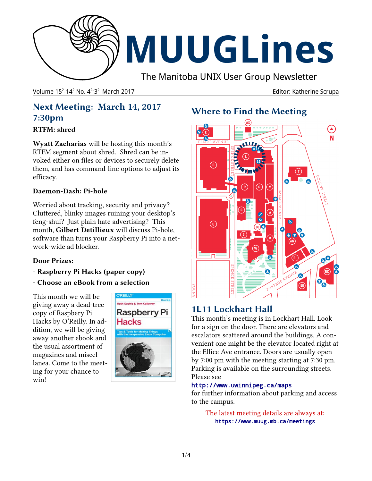

Volume 15<sup>2</sup>-14<sup>2</sup> No. 4<sup>2-</sup>3

Editor: Katherine Scrupa

# **Next Meeting: March 14, 2017 7:30pm**

## **RTFM: shred**

**Wyatt Zacharias** will be hosting this month's RTFM segment about shred. Shred can be invoked either on files or devices to securely delete them, and has command-line options to adjust its efficacy.

## **Daemon-Dash: Pi-hole**

Worried about tracking, security and privacy? Cluttered, blinky images ruining your desktop's feng-shui? Just plain hate advertising? This month, **Gilbert Detillieux** will discuss Pi-hole, software than turns your Raspberry Pi into a network-wide ad blocker.

## **Door Prizes:**

- **Raspberry Pi Hacks (paper copy)**
- **Choose an eBook from a selection**

This month we will be giving away a dead-tree copy of Raspbery Pi Hacks by O'Reilly. In addition, we will be giving away another ebook and the usual assortment of magazines and miscellanea. Come to the meeting for your chance to win!



# **Where to Find the Meeting**



# **1L11 Lockhart Hall**

This month's meeting is in Lockhart Hall. Look for a sign on the door. There are elevators and escalators scattered around the buildings. A convenient one might be the elevator located right at the Ellice Ave entrance. Doors are usually open by 7:00 pm with the meeting starting at 7:30 pm. Parking is available on the surrounding streets. Please see

## http://www.uwinnipeg.ca/maps

for further information about parking and access to the campus.

The latest meeting details are always at: https://www.muug.mb.ca/meetings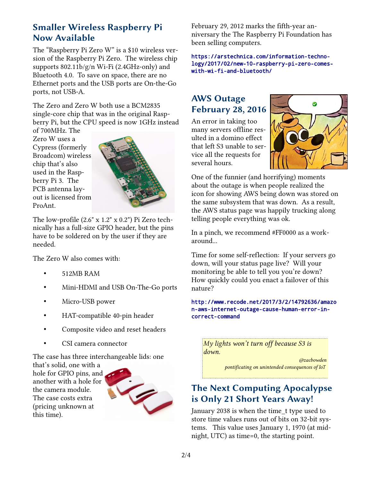## **Smaller Wireless Raspberry Pi Now Available**

The "Raspberry Pi Zero W" is a \$10 wireless version of the Raspberry Pi Zero. The wireless chip supports 802.11b/g/n Wi-Fi (2.4GHz-only) and Bluetooth 4.0. To save on space, there are no Ethernet ports and the USB ports are On-the-Go ports, not USB-A.

The Zero and Zero W both use a BCM2835 single-core chip that was in the original Raspberry Pi, but the CPU speed is now 1GHz instead

of 700MHz. The Zero W uses a Cypress (formerly Broadcom) wireless chip that's also used in the Raspberry Pi 3. The PCB antenna layout is licensed from ProAnt.



The low-profile (2.6" x 1.2" x 0.2") Pi Zero technically has a full-size GPIO header, but the pins have to be soldered on by the user if they are needed.

The Zero W also comes with:

- 512MB RAM
- Mini-HDMI and USB On-The-Go ports
- Micro-USB power
- HAT-compatible 40-pin header
- Composite video and reset headers
- CSI camera connector

The case has three interchangeable lids: one

that's solid, one with a hole for GPIO pins, and another with a hole for the camera module. The case costs extra (pricing unknown at this time).



February 29, 2012 marks the fifth-year anniversary the The Raspberry Pi Foundation has been selling computers.

[https://arstechnica.com/information-techno](http://www.oreilly.com/openbook/)[logy/2017/02/new-10-raspberry-pi-zero-comes](http://www.oreilly.com/openbook/)[with-wi-fi-and-bluetooth/](http://www.oreilly.com/openbook/)

# **AWS Outage February 28, 2016**

An error in taking too many servers offline resulted in a domino effect that left S3 unable to service all the requests for several hours.



One of the funnier (and horrifying) moments about the outage is when people realized the icon for showing AWS being down was stored on the same subsystem that was down. As a result, the AWS status page was happily trucking along telling people everything was ok.

In a pinch, we recommend #FF0000 as a workaround...

Time for some self-reflection: If your servers go down, will your status page live? Will your monitoring be able to tell you you're down? How quickly could you enact a failover of this nature?

[http://www.recode.net/2017/3/2/14792636/amazo](http://www.recode.net/2017/3/2/14792636/amazon-aws-internet-outage-cause-human-error-incorrect-command) [n-aws-internet-outage-cause-human-error-in](http://www.recode.net/2017/3/2/14792636/amazon-aws-internet-outage-cause-human-error-incorrect-command)[correct-command](http://www.recode.net/2017/3/2/14792636/amazon-aws-internet-outage-cause-human-error-incorrect-command)

*My lights won't turn off because S3 is down.*

> *@zacbowden pontificating on unintended consequences of IoT*

## **The Next Computing Apocalypse is Only 21 Short Years Away!**

January 2038 is when the time\_t type used to store time values runs out of bits on 32-bit systems. This value uses January 1, 1970 (at midnight, UTC) as time=0, the starting point.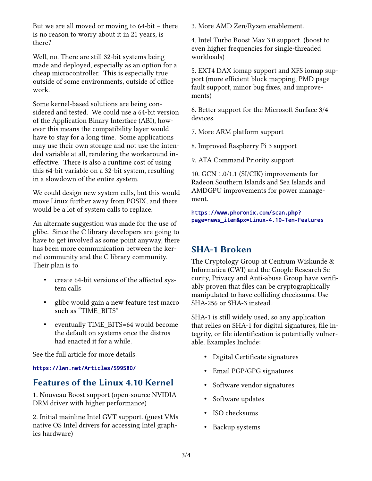But we are all moved or moving to 64-bit – there is no reason to worry about it in 21 years, is there?

Well, no. There are still 32-bit systems being made and deployed, especially as an option for a cheap microcontroller. This is especially true outside of some environments, outside of office work.

Some kernel-based solutions are being considered and tested. We could use a 64-bit version of the Application Binary Interface (ABI), however this means the compatibility layer would have to stay for a long time. Some applications may use their own storage and not use the intended variable at all, rendering the workaround ineffective. There is also a runtime cost of using this 64-bit variable on a 32-bit system, resulting in a slowdown of the entire system.

We could design new system calls, but this would move Linux further away from POSIX, and there would be a lot of system calls to replace.

An alternate suggestion was made for the use of glibc. Since the C library developers are going to have to get involved as some point anyway, there has been more communication between the kernel community and the C library community. Their plan is to

- create 64-bit versions of the affected system calls
- glibc would gain a new feature test macro such as "TIME\_BITS"
- eventually TIME\_BITS=64 would become the default on systems once the distros had enacted it for a while.

See the full article for more details:

#### [https://lwn.net/Articles/599580/](http://www.osnews.com/story/29418/Sweden_may_fight_disposable_culture_with_tax_breaks_for_repairs)

## **Features of the Linux 4.10 Kernel**

1. Nouveau Boost support (open-source NVIDIA DRM driver with higher performance)

2. Initial mainline Intel GVT support. (guest VMs native OS Intel drivers for accessing Intel graphics hardware)

3. More AMD Zen/Ryzen enablement.

4. Intel Turbo Boost Max 3.0 support. (boost to even higher frequencies for single-threaded workloads)

5. EXT4 DAX iomap support and XFS iomap support (more efficient block mapping, PMD page fault support, minor bug fixes, and improvements)

6. Better support for the Microsoft Surface 3/4 devices.

7. More ARM platform support

8. Improved Raspberry Pi 3 support

9. ATA Command Priority support.

10. GCN 1.0/1.1 (SI/CIK) improvements for Radeon Southern Islands and Sea Islands and AMDGPU improvements for power management.

[https://www.phoronix.com/scan.php?](https://www.phoronix.com/scan.php?page=news_item&px=Linux-4.10-Ten-Features) [page=news\\_item&px=Linux-4.10-Ten-Features](https://www.phoronix.com/scan.php?page=news_item&px=Linux-4.10-Ten-Features)

## **SHA-1 Broken**

The Cryptology Group at Centrum Wiskunde & Informatica (CWI) and the Google Research Security, Privacy and Anti-abuse Group have verifiably proven that files can be cryptographically manipulated to have colliding checksums. Use SHA-256 or SHA-3 instead.

SHA-1 is still widely used, so any application that relies on SHA-1 for digital signatures, file integrity, or file identification is potentially vulnerable. Examples Include:

- Digital Certificate signatures
- Email PGP/GPG signatures
- Software vendor signatures
- Software updates
- ISO checksums
- Backup systems